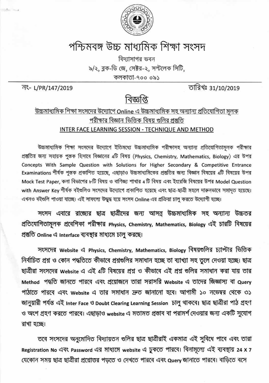

## পশ্চিমবঙ্গ উচ্চ মাধ্যমিক শিক্ষা সংসদ

বিদ্যাসাগর ভবন ৯/২, ব্লক-ডি জে, সেক্টর-২, সল্টলেক সিটি, কলকাতা-৭০০ ০৯১

국 L/PR/147/2019

তারিখঃ 31/10/2019

## বিজ্ঞপ্তি

## <u>উচ্চমাধ্যমিক শিক্ষা সংসদের উদ্যোগে Online এ উচ্চমাধ্যমিক সহ অন্যান্য প্রতিযোগিতা মলক</u> পরীক্ষার বিজ্ঞান ভিত্তিক বিষয় গুলির প্রস্তুতি INTER FACE LEARNING SESSION - TECHNIQUE AND METHOD

উচ্চমাধ্যমিক শিক্ষা সংসদের উদ্যোগে ইতিমধ্যে উচ্চমাধ্যমিক পরীক্ষাসহ অন্যান্য প্রতিযোগিতামূলক পরীক্ষার প্ৰস্তুতির জন্য সহায়ক পুস্তক হিসাবে বিজ্ঞানের 4টি বিষয় (Physics, Chemistry, Mathematics, Biology) এর উপর Concepts With Sample Question with Solutions for Higher Secondary & Competitive Entrance Examinations শীৰ্ষক পুস্তক প্ৰকাশিত হয়েছে, এছাড়াও উচ্চমাধ্যমিকের প্ৰস্তুতির জন্য বিজ্ঞান বিষয়ের 4টি বিষয়ের উপর Mock Test Paper, কলা বিভাগের ৮টি বিষয় ও বাণিজ্য শাখার 4 টি বিষয় এবং ইংরেজি বিষয়ের উপর Model Question with Answer Key শীৰ্ষক বইগুলিও সংসদের উদ্যোগে প্রকাশিত হয়েছে এবং ছাত্র-ছাত্রী মহলে দারুনভাবে সমাদৃত হয়েছে। এখনও ৰইগুলি পাওয়া যাচ্ছে। এই সাফল্যে উদ্ধুদ্ধ হয়ে সংসদ Online এর প্রক্রিয়া চালু করতে উদ্যোগী হচ্ছে।

সংসদ এবারে রাজ্যের ছাত্র ছাত্রীদের জন্য আসন্ন উচ্চমাধ্যমিক সহ অন্যান্য উচ্চতর প্রতিযোগিতামূলক প্রবেশিকা পরীক্ষার Physics, Chemistry, Mathematics, Biology এই চারটি বিষয়ের প্ৰস্তুতি Online এ Interface ব্যবস্থার মাধ্যমে চালু করছে।

সংসদের Website এ Physics, Chemistry, Mathematics, Biology বিষয়গুলির চ্যাপ্টার ভিত্তিক নির্বাচিত প্রশ্ন ও কোন পদ্ধতিতে কীভাবে প্রশ্নগুলির সমাধান হচ্ছে তা ব্যাখ্যা সহ তুলে দেওয়া হচ্ছে। ছাত্র ছাত্রীরা সংসদের website এ এই 4টি বিষয়ের প্রশ্ন ও কীভাবে এই প্রশ্ন গুলির সমাধান করা যায় তার Method পদ্ধতি জানতে পারবে এবং প্রয়োজনে তারা সরাসরি Website এ তাদের জিজ্ঞাস্য বা Query পাঠাতে পারবে এবং website এ তার সমাধান দ্রুত জানানো হবে। আগামী ১০ নভেম্বর থেকে ৩১ জানুয়ারী পর্যন্ত এই Inter Face ও Doubt Clearing Learning Session চালু থাকবে। ছাত্র ছাত্রীরা পাঠ গ্রহণ ও অংশ গ্রহণ করতে পারবে। এছাড়াও website এ মতামত প্রস্তাব বা পরামর্শ দেওয়ার জন্য একটি সুযোগ রাখা হচ্ছে।

তবে সংসদের অনুমোদিত বিদ্যায়তন গুলির ছাত্র ছাত্রীরাই একমাত্র এই সুবিধে পাবে এবং তারা Registration No এবং Password এর মাধ্যমে website এ ঢুকতে পারবে। বিনামূল্যে এই ব্যবস্থায় 24 x 7 যেকোন সময় ছাত্র ছাত্রীরা প্রশ্নোত্তর পড়তে ও দেখতে পারবে এবং query জানাতে পারবে। বাড়িতে বসে